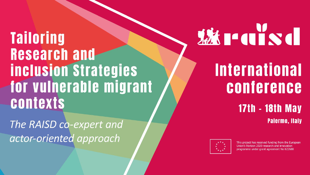**Tailoring Research and inclusion Strategies** for vulnerable migrant **contexts** 

The RAISD co-expert and actor-oriented approach

# **WEITERS**

## **International** conference

#### **17th - 18th May Palermo, Italy**



This project has received funding from the European Union's Horizon 2020 research and innovation programme under grant agreement No 822688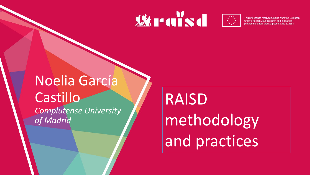### *W*rdsd



This project has received funding from the European Union's Horizon 2020 research and innovation programme under grant agreement No 822688

### Noelia García **Castillo** *Complutense University of Madrid*

RAISD methodology and practices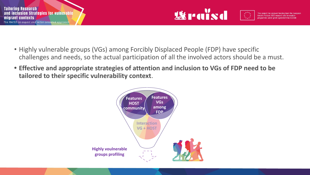

This project has received funding from the European Union's Horizon 2020 research and innovation

- Highly vulnerable groups (VGs) among Forcibly Displaced People (FDP) have specific challenges and needs, so the actual participation of all the involved actors should be a must.
- **• Effective and appropriate strategies of attention and inclusion to VGs of FDP need to be tailored to their specific vulnerability context**.

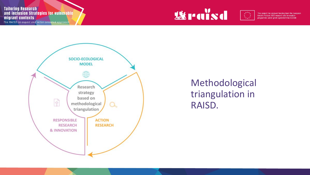**Tailoring Research** and inclusion Strategies for vulnerable migrant contexts The RAISD co-expert and actor-oriented approach



 $\sum_{k=1}^{N} \sum_{j=1}^{N}$ 

This project has received funding from the European Union's Horizon 2020 research and innovation programme under grant agreement No 822688



Methodological triangulation in RAISD.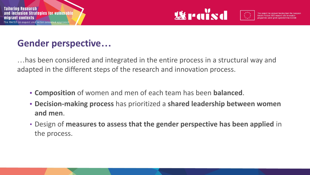

#### **Gender perspective…**

…has been considered and integrated in the entire process in a structural way and adapted in the different steps of the research and innovation process.

- **• Composition** of women and men of each team has been **balanced**.
- **• Decision-making process** has prioritized a **shared leadership between women and men**.
- Design of **measures to assess that the gender perspective has been applied** in the process.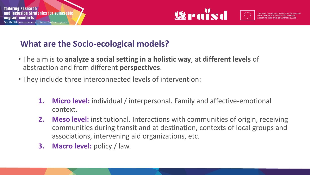

#### **What are the Socio-ecological models?**

- The aim is to **analyze a social setting in a holistic way**, at **different levels** of abstraction and from different **perspectives**.
- They include three interconnected levels of intervention:
	- **1. Micro level:** individual / interpersonal. Family and affective-emotional context.
	- **2. Meso level:** institutional. Interactions with communities of origin, receiving communities during transit and at destination, contexts of local groups and associations, intervening aid organizations, etc.
	- **3. Macro level:** policy / law.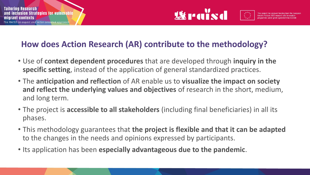

#### **How does Action Research (AR) contribute to the methodology?**

- Use of **context dependent procedures** that are developed through **inquiry in the specific setting**, instead of the application of general standardized practices.
- The **anticipation and reflection** of AR enable us to **visualize the impact on society and reflect the underlying values and objectives** of research in the short, medium, and long term.
- The project is **accessible to all stakeholders** (including final beneficiaries) in all its phases.
- This methodology guarantees that **the project is flexible and that it can be adapted**  to the changes in the needs and opinions expressed by participants.
- Its application has been **especially advantageous due to the pandemic**.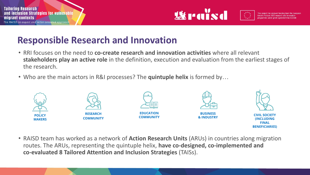



#### **Responsible Research and Innovation**

- RRI focuses on the need to **co-create research and innovation activities** where all relevant **stakeholders play an active role** in the definition, execution and evaluation from the earliest stages of the research.
- Who are the main actors in R&I processes? The **quintuple helix** is formed by…



• RAISD team has worked as a network of **Action Research Units** (ARUs) in countries along migration routes. The ARUs, representing the quintuple helix, **have co-designed, co-implemented and co-evaluated 8 Tailored Attention and Inclusion Strategies** (TAISs).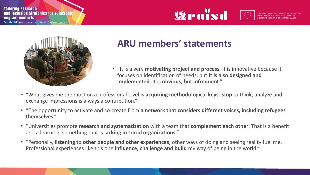





#### **ARU members' statements**

- "It is a very **motivating project and process**. It is innovative because it focuses on identification of needs, but **it is also designed and implemented**. It is **obvious, but infrequent**."
- "What gives me the most on a professional level is **acquiring methodological keys**. Stop to think, analyze and exchange impressions is always a contribution."
- "The opportunity to activate and co-create from **a network that considers different voices, including refugees themselves**."
- "Universities promote **research and systematization** with a team that **complement each other**. That is a benefit and a learning, something that is **lacking in social organizations**."
- "Personally, **listening to other people and other experiences**, other ways of doing and seeing reality fuel me. Professional experiences like this one **influence, challenge and build** my way of being in the world."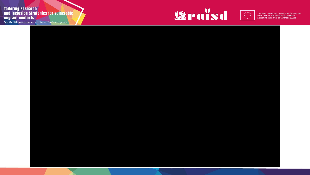Tailoring Research<br>and inclusion Strategies for vulnerable<br>migrant contexts The RAISD co-expert and actor-oriented approach



 $\overline{z}^{\prime\prime}_{\alpha\beta}$ This project has received funding from the European<br>Union's Horizon 2020 research and innovation<br>programme under grant agreement No 822688